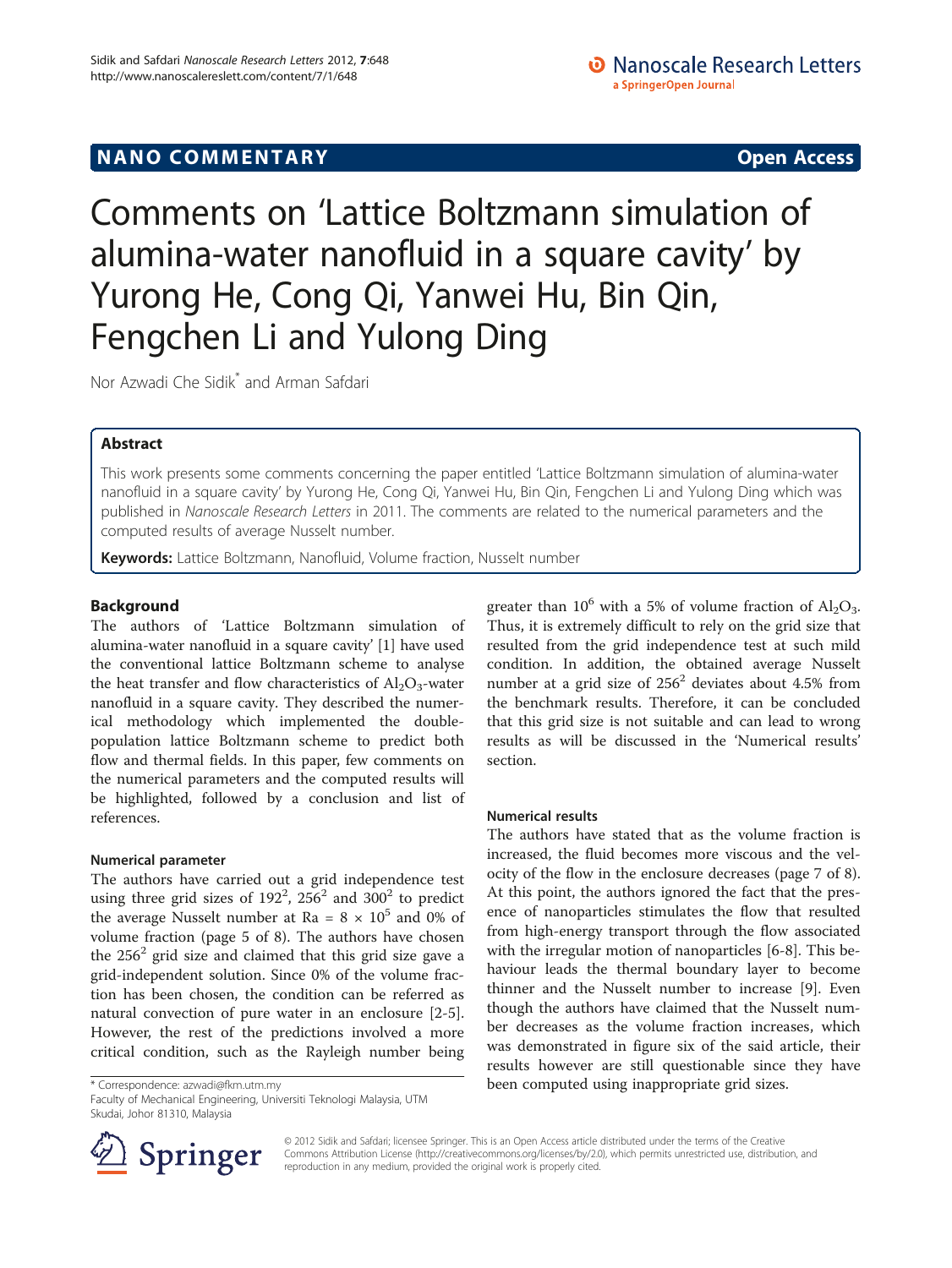# NANO COMMENTARY **COMMENTARY COMMENTARY**

Comments on 'Lattice Boltzmann simulation of alumina-water nanofluid in a square cavity' by Yurong He, Cong Qi, Yanwei Hu, Bin Qin, Fengchen Li and Yulong Ding

Nor Azwadi Che Sidik\* and Arman Safdari

# Abstract

This work presents some comments concerning the paper entitled 'Lattice Boltzmann simulation of alumina-water nanofluid in a square cavity' by Yurong He, Cong Qi, Yanwei Hu, Bin Qin, Fengchen Li and Yulong Ding which was published in Nanoscale Research Letters in 2011. The comments are related to the numerical parameters and the computed results of average Nusselt number.

Keywords: Lattice Boltzmann, Nanofluid, Volume fraction, Nusselt number

## Background

The authors of 'Lattice Boltzmann simulation of alumina-water nanofluid in a square cavity' [[1](#page-1-0)] have used the conventional lattice Boltzmann scheme to analyse the heat transfer and flow characteristics of  $Al_2O_3$ -water nanofluid in a square cavity. They described the numerical methodology which implemented the doublepopulation lattice Boltzmann scheme to predict both flow and thermal fields. In this paper, few comments on the numerical parameters and the computed results will be highlighted, followed by a conclusion and list of references.

### Numerical parameter

The authors have carried out a grid independence test using three grid sizes of  $192^2$ ,  $256^2$  and  $300^2$  to predict the average Nusselt number at Ra =  $8 \times 10^5$  and 0% of volume fraction (page 5 of 8). The authors have chosen the  $256<sup>2</sup>$  grid size and claimed that this grid size gave a grid-independent solution. Since 0% of the volume fraction has been chosen, the condition can be referred as natural convection of pure water in an enclosure [[2-5](#page-1-0)]. However, the rest of the predictions involved a more critical condition, such as the Rayleigh number being

Faculty of Mechanical Engineering, Universiti Teknologi Malaysia, UTM Skudai, Johor 81310, Malaysia



### Numerical results

The authors have stated that as the volume fraction is increased, the fluid becomes more viscous and the velocity of the flow in the enclosure decreases (page 7 of 8). At this point, the authors ignored the fact that the presence of nanoparticles stimulates the flow that resulted from high-energy transport through the flow associated with the irregular motion of nanoparticles [[6-8](#page-1-0)]. This behaviour leads the thermal boundary layer to become thinner and the Nusselt number to increase [[9\]](#page-1-0). Even though the authors have claimed that the Nusselt number decreases as the volume fraction increases, which was demonstrated in figure six of the said article, their results however are still questionable since they have \* Correspondence: [azwadi@fkm.utm.my](mailto:azwadi@fkm.utm.my) been computed using inappropriate grid sizes.



© 2012 Sidik and Safdari; licensee Springer. This is an Open Access article distributed under the terms of the Creative Commons Attribution License (<http://creativecommons.org/licenses/by/2.0>), which permits unrestricted use, distribution, and reproduction in any medium, provided the original work is properly cited.